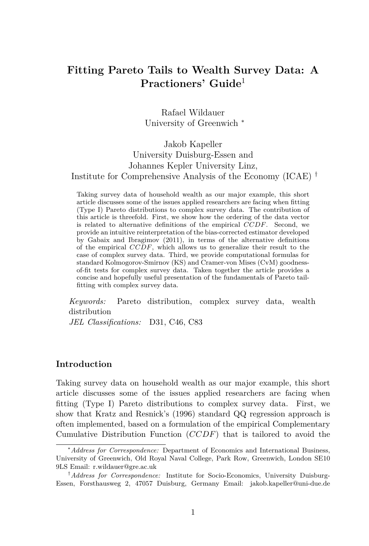# **Fitting Pareto Tails to Wealth Survey Data: A Practioners' Guide**<sup>1</sup>

Rafael Wildauer University of Greenwich <sup>∗</sup>

# Jakob Kapeller University Duisburg-Essen and Johannes Kepler University Linz, Institute for Comprehensive Analysis of the Economy (ICAE) †

Taking survey data of household wealth as our major example, this short article discusses some of the issues applied researchers are facing when fitting (Type I) Pareto distributions to complex survey data. The contribution of this article is threefold. First, we show how the ordering of the data vector is related to alternative definitions of the empirical  $\overline{CCDF}$ . Second, we provide an intuitive reinterpretation of the bias-corrected estimator developed by Gabaix and Ibragimov (2011), in terms of the alternative definitions of the empirical CCDF, which allows us to generalize their result to the case of complex survey data. Third, we provide computational formulas for standard Kolmogorov-Smirnov (KS) and Cramer-von Mises (CvM) goodnessof-fit tests for complex survey data. Taken together the article provides a concise and hopefully useful presentation of the fundamentals of Pareto tailfitting with complex survey data.

*Keywords:* Pareto distribution, complex survey data, wealth distribution

*JEL Classifications:* D31, C46, C83

#### **Introduction**

Taking survey data on household wealth as our major example, this short article discusses some of the issues applied researchers are facing when fitting (Type I) Pareto distributions to complex survey data. First, we show that Kratz and Resnick's (1996) standard QQ regression approach is often implemented, based on a formulation of the empirical Complementary Cumulative Distribution Function  $(CCDF)$  that is tailored to avoid the

<sup>∗</sup>*Address for Correspondence:* Department of Economics and International Business, University of Greenwich, Old Royal Naval College, Park Row, Greenwich, London SE10 9LS Email: r.wildauer@gre.ac.uk

<sup>†</sup>*Address for Correspondence:* Institute for Socio-Economics, University Duisburg-Essen, Forsthausweg 2, 47057 Duisburg, Germany Email: jakob.kapeller@uni-due.de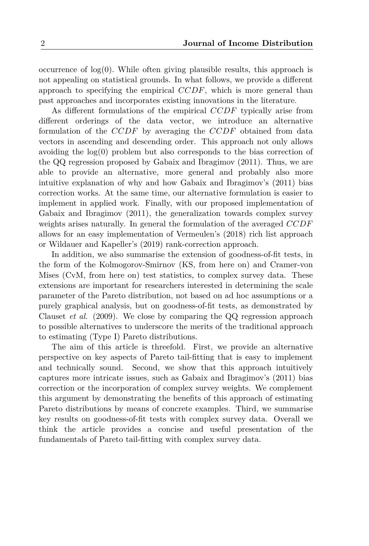occurrence of  $log(0)$ . While often giving plausible results, this approach is not appealing on statistical grounds. In what follows, we provide a different approach to specifying the empirical  $CCDF$ , which is more general than past approaches and incorporates existing innovations in the literature.

As different formulations of the empirical CCDF typically arise from different orderings of the data vector, we introduce an alternative formulation of the CCDF by averaging the CCDF obtained from data vectors in ascending and descending order. This approach not only allows avoiding the  $log(0)$  problem but also corresponds to the bias correction of the QQ regression proposed by Gabaix and Ibragimov (2011). Thus, we are able to provide an alternative, more general and probably also more intuitive explanation of why and how Gabaix and Ibragimov's (2011) bias correction works. At the same time, our alternative formulation is easier to implement in applied work. Finally, with our proposed implementation of Gabaix and Ibragimov (2011), the generalization towards complex survey weights arises naturally. In general the formulation of the averaged CCDF allows for an easy implementation of Vermeulen's (2018) rich list approach or Wildauer and Kapeller's (2019) rank-correction approach.

In addition, we also summarise the extension of goodness-of-fit tests, in the form of the Kolmogorov-Smirnov (KS, from here on) and Cramer-von Mises (CvM, from here on) test statistics, to complex survey data. These extensions are important for researchers interested in determining the scale parameter of the Pareto distribution, not based on ad hoc assumptions or a purely graphical analysis, but on goodness-of-fit tests, as demonstrated by Clauset *et al.* (2009). We close by comparing the QQ regression approach to possible alternatives to underscore the merits of the traditional approach to estimating (Type I) Pareto distributions.

The aim of this article is threefold. First, we provide an alternative perspective on key aspects of Pareto tail-fitting that is easy to implement and technically sound. Second, we show that this approach intuitively captures more intricate issues, such as Gabaix and Ibragimov's (2011) bias correction or the incorporation of complex survey weights. We complement this argument by demonstrating the benefits of this approach of estimating Pareto distributions by means of concrete examples. Third, we summarise key results on goodness-of-fit tests with complex survey data. Overall we think the article provides a concise and useful presentation of the fundamentals of Pareto tail-fitting with complex survey data.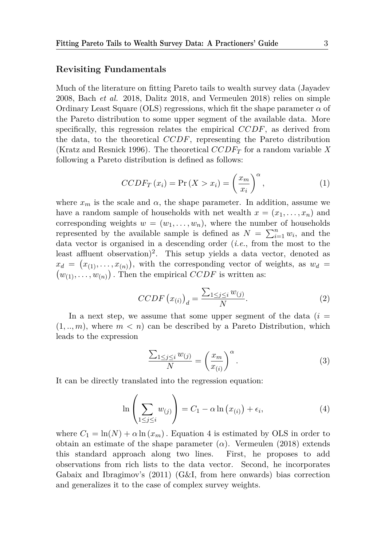#### **Revisiting Fundamentals**

Much of the literature on fitting Pareto tails to wealth survey data (Jayadev 2008, Bach *et al.* 2018, Dalitz 2018, and Vermeulen 2018) relies on simple Ordinary Least Square (OLS) regressions, which fit the shape parameter  $\alpha$  of the Pareto distribution to some upper segment of the available data. More specifically, this regression relates the empirical CCDF, as derived from the data, to the theoretical CCDF, representing the Pareto distribution (Kratz and Resnick 1996). The theoretical CCDF<sup>T</sup> for a random variable *X* following a Pareto distribution is defined as follows:

$$
CCDF_T(x_i) = \Pr(X > x_i) = \left(\frac{x_m}{x_i}\right)^{\alpha},\tag{1}
$$

where  $x_m$  is the scale and  $\alpha$ , the shape parameter. In addition, assume we have a random sample of households with net wealth  $x = (x_1, \ldots, x_n)$  and corresponding weights  $w = (w_1, \ldots, w_n)$ , where the number of households represented by the available sample is defined as  $N = \sum_{i=1}^{n} w_i$ , and the data vector is organised in a descending order (*i.e.*, from the most to the least affluent observation)<sup>2</sup>. This setup yields a data vector, denoted as  $x_d = (x_{(1)}, \ldots, x_{(n)})$ , with the corresponding vector of weights, as  $w_d =$  $(w_{(1)}, \ldots, w_{(n)})$ . Then the empirical CCDF is written as:

$$
CCDF (x_{(i)})_d = \frac{\sum_{1 \le j \le i} w_{(j)}}{N}.
$$
 (2)

In a next step, we assume that some upper segment of the data  $(i =$  $(1, ..., m)$ , where  $m < n$  can be described by a Pareto Distribution, which leads to the expression

$$
\frac{\sum_{1 \le j \le i} w_{(j)}}{N} = \left(\frac{x_m}{x_{(i)}}\right)^{\alpha}.
$$
\n(3)

It can be directly translated into the regression equation:

$$
\ln\left(\sum_{1\leq j\leq i} w_{(j)}\right) = C_1 - \alpha \ln\left(x_{(i)}\right) + \epsilon_i,
$$
\n(4)

where  $C_1 = \ln(N) + \alpha \ln(x_m)$ . Equation 4 is estimated by OLS in order to obtain an estimate of the shape parameter  $(\alpha)$ . Vermeulen (2018) extends this standard approach along two lines. First, he proposes to add observations from rich lists to the data vector. Second, he incorporates Gabaix and Ibragimov's (2011) (G&I, from here onwards) bias correction and generalizes it to the case of complex survey weights.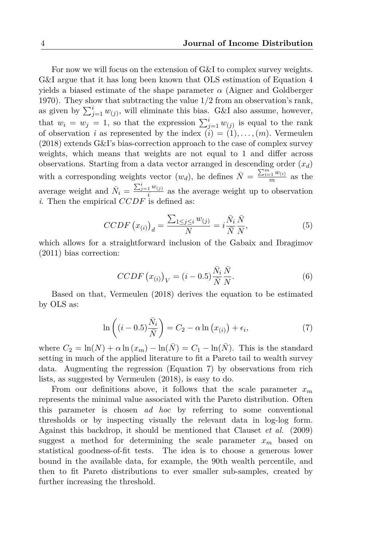For now we will focus on the extension of G&I to complex survey weights. G&I argue that it has long been known that OLS estimation of Equation 4 yields a biased estimate of the shape parameter  $\alpha$  (Aigner and Goldberger 1970). They show that subtracting the value 1/2 from an observation's rank, as given by  $\sum_{j=1}^{i} w_{(j)}$ , will eliminate this bias. G&I also assume, however, that  $w_i = w_j = 1$ , so that the expression  $\sum_{j=1}^{i} w_{(j)}$  is equal to the rank of observation *i* as represented by the index  $(i) = (1), \ldots, (m)$ . Vermeulen (2018) extends G&I's bias-correction approach to the case of complex survey weights, which means that weights are not equal to 1 and differ across observations. Starting from a data vector arranged in descending order  $(x_d)$ with a corresponding weights vector  $(w_d)$ , he defines  $\bar{N} = \frac{\sum_{i=1}^{m} w_{(i)}}{m}$  $\frac{e^{-1}}{m}$  as the average weight and  $\bar{N}_i = \frac{\sum_{j=1}^i w_{(j)}}{i}$  $\frac{1}{i}$  as the average weight up to observation *i*. Then the empirical CCDF is defined as:

$$
CCDF\left(x_{(i)}\right)_d = \frac{\sum_{1 \le j \le i} w_{(j)}}{N} = i \frac{\bar{N}_i}{\bar{N}} \frac{\bar{N}}{N},\tag{5}
$$

which allows for a straightforward inclusion of the Gabaix and Ibragimov (2011) bias correction:

$$
CCDF (x_{(i)})_V = (i - 0.5) \frac{\bar{N}_i}{\bar{N}} \frac{\bar{N}}{N}.
$$
 (6)

Based on that, Vermeulen (2018) derives the equation to be estimated by OLS as:

$$
\ln\left((i-0.5)\frac{\bar{N}_i}{\bar{N}}\right) = C_2 - \alpha \ln\left(x_{(i)}\right) + \epsilon_i,\tag{7}
$$

where  $C_2 = \ln(N) + \alpha \ln(x_m) - \ln(\bar{N}) = C_1 - \ln(\bar{N})$ . This is the standard setting in much of the applied literature to fit a Pareto tail to wealth survey data. Augmenting the regression (Equation 7) by observations from rich lists, as suggested by Vermeulen (2018), is easy to do.

From our definitions above, it follows that the scale parameter  $x_m$ represents the minimal value associated with the Pareto distribution. Often this parameter is chosen *ad hoc* by referring to some conventional thresholds or by inspecting visually the relevant data in log-log form. Against this backdrop, it should be mentioned that Clauset *et al.* (2009) suggest a method for determining the scale parameter  $x_m$  based on statistical goodness-of-fit tests. The idea is to choose a generous lower bound in the available data, for example, the 90th wealth percentile, and then to fit Pareto distributions to ever smaller sub-samples, created by further increasing the threshold.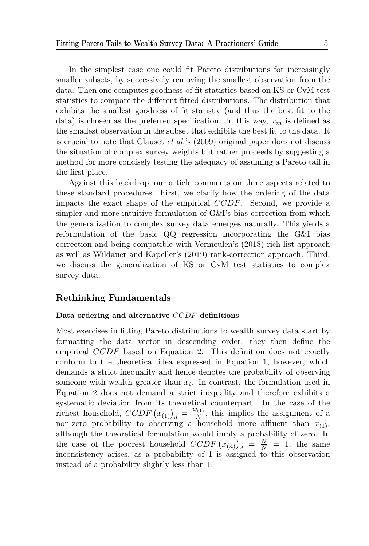In the simplest case one could fit Pareto distributions for increasingly smaller subsets, by successively removing the smallest observation from the data. Then one computes goodness-of-fit statistics based on KS or CvM test statistics to compare the different fitted distributions. The distribution that exhibits the smallest goodness of fit statistic (and thus the best fit to the data) is chosen as the preferred specification. In this way,  $x_m$  is defined as the smallest observation in the subset that exhibits the best fit to the data. It is crucial to note that Clauset *et al.*'s (2009) original paper does not discuss the situation of complex survey weights but rather proceeds by suggesting a method for more concisely testing the adequacy of assuming a Pareto tail in the first place.

Against this backdrop, our article comments on three aspects related to these standard procedures. First, we clarify how the ordering of the data impacts the exact shape of the empirical  $CCDF$ . Second, we provide a simpler and more intuitive formulation of G&I's bias correction from which the generalization to complex survey data emerges naturally. This yields a reformulation of the basic QQ regression incorporating the G&I bias correction and being compatible with Vermeulen's (2018) rich-list approach as well as Wildauer and Kapeller's (2019) rank-correction approach. Third, we discuss the generalization of KS or CvM test statistics to complex survey data.

#### **Rethinking Fundamentals**

#### **Data ordering and alternative** CCDF **definitions**

Most exercises in fitting Pareto distributions to wealth survey data start by formatting the data vector in descending order; they then define the empirical CCDF based on Equation 2. This definition does not exactly conform to the theoretical idea expressed in Equation 1, however, which demands a strict inequality and hence denotes the probability of observing someone with wealth greater than  $x_i$ . In contrast, the formulation used in Equation 2 does not demand a strict inequality and therefore exhibits a systematic deviation from its theoretical counterpart. In the case of the richest household,  $CCDF(x_{(1)})_d = \frac{w_{(1)}}{N}$  $\frac{\sqrt{11}}{N}$ , this implies the assignment of a non-zero probability to observing a household more affluent than  $x_{(1)}$ , although the theoretical formulation would imply a probability of zero. In the case of the poorest household  $CCDF (x_{(n)})_d = \frac{N}{N} = 1$ , the same inconsistency arises, as a probability of 1 is assigned to this observation instead of a probability slightly less than 1.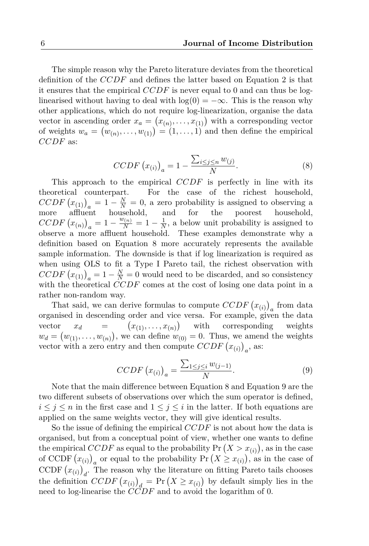The simple reason why the Pareto literature deviates from the theoretical definition of the CCDF and defines the latter based on Equation 2 is that it ensures that the empirical  $CCDF$  is never equal to 0 and can thus be loglinearised without having to deal with  $log(0) = -\infty$ . This is the reason why other applications, which do not require log-linearization, organise the data vector in ascending order  $x_a = (x_{(n)}, \ldots, x_{(1)})$  with a corresponding vector of weights  $w_a = (w_{(n)}, \ldots, w_{(1)}) = (1, \ldots, 1)$  and then define the empirical CCDF as:

$$
CCDF (x_{(i)})_a = 1 - \frac{\sum_{i \le j \le n} w_{(j)}}{N}.
$$
\n(8)

This approach to the empirical  $CCDF$  is perfectly in line with its theoretical counterpart. For the case of the richest household,  $CCDF (x_{(1)})_a = 1 - \frac{N}{N} = 0$ , a zero probability is assigned to observing a  $\begin{array}{c}\n\text{C} \cup \text{D} \\
\text{C} \cup \text{D} \\
\text{C} \cup \text{D} \\
\text{C} \cup \text{D} \\
\text{C} \cup \text{D} \\
\text{D} \cup \text{D} \\
\text{E} \cup \text{D} \\
\text{D} \cup \text{D} \\
\text{E} \cup \text{D} \\
\text{D} \cup \text{D} \\
\text{E} \cup \text{D} \\
\text{E} \cup \text{D} \\
\text{E} \cup \text{D} \\
\text{E} \cup \text{D} \\
\text{E} \cup \text{D} \\
\text{E} \cup \text{D} \\
\text{E$  $CCDF (x_{(n)})_a = 1 - \frac{w_{(n)}}{N} = 1 - \frac{1}{N}$  $\frac{1}{N}$ , a below unit probability is assigned to observe a more affluent household. These examples demonstrate why a definition based on Equation 8 more accurately represents the available sample information. The downside is that if log linearization is required as when using OLS to fit a Type I Pareto tail, the richest observation with  $CCDF (x_{(1)})_a = 1 - \frac{N}{N} = 0$  would need to be discarded, and so consistency with the theoretical CCDF comes at the cost of losing one data point in a rather non-random way.

That said, we can derive formulas to compute  $CCDF (x_{(i)})_a$  from data organised in descending order and vice versa. For example, given the data vector  $x_d =$  $(x_{(1)}, \ldots, x_{(n)})$ corresponding weights  $w_d = (w_{(1)}, \ldots, w_{(n)})$ , we can define  $w_{(0)} = 0$ . Thus, we amend the weights vector with a zero entry and then compute  $CCDF (x_{(i)})_a$ , as:

$$
CCDF (x_{(i)})_a = \frac{\sum_{1 \le j \le i} w_{(j-1)}}{N}.
$$
\n(9)

Note that the main difference between Equation 8 and Equation 9 are the two different subsets of observations over which the sum operator is defined,  $i \leq j \leq n$  in the first case and  $1 \leq j \leq i$  in the latter. If both equations are applied on the same weights vector, they will give identical results.

So the issue of defining the empirical CCDF is not about how the data is organised, but from a conceptual point of view, whether one wants to define the empirical CCDF as equal to the probability  $Pr(X > x_{(i)})$ , as in the case of CCDF  $(x_{(i)})_a$  or equal to the probability Pr  $(X \geq x_{(i)})$ , as in the case of CCDF  $(x_{(i)})_d$ . The reason why the literature on fitting Pareto tails chooses the definition  $CCDF(x_{(i)})_d = Pr(X \geq x_{(i)})$  by default simply lies in the need to log-linearise the CCDF and to avoid the logarithm of 0.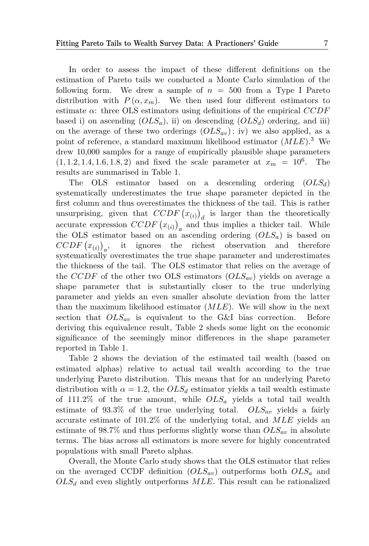In order to assess the impact of these different definitions on the estimation of Pareto tails we conducted a Monte Carlo simulation of the following form. We drew a sample of  $n = 500$  from a Type I Pareto distribution with  $P(\alpha, x_m)$ . We then used four different estimators to estimate  $\alpha$ : three OLS estimators using definitions of the empirical CCDF based i) on ascending  $(OLS_a)$ , ii) on descending  $(OLS_d)$  ordering, and iii) on the average of these two orderings  $(OLS_{av})$ ; iv) we also applied, as a point of reference, a standard maximum likelihood estimator  $(MLE)^3$ . We drew 10,000 samples for a range of empirically plausible shape parameters  $(1, 1.2, 1.4, 1.6, 1.8, 2)$  and fixed the scale parameter at  $x_m = 10^6$ . . The results are summarised in Table 1.

The OLS estimator based on a descending ordering  $(OLS_d)$ systematically underestimates the true shape parameter depicted in the first column and thus overestimates the thickness of the tail. This is rather unsurprising, given that  $CCDF(x_{(i)})_d$  is larger than the theoretically accurate expression  $CCDF(x_{(i)})_a$  and thus implies a thicker tail. While the OLS estimator based on an ascending ordering  $(OLS<sub>a</sub>)$  is based on  $CCDF (x_{(i)})_a$ , it ignores the richest observation and therefore systematically overestimates the true shape parameter and underestimates the thickness of the tail. The OLS estimator that relies on the average of the CCDF of the other two OLS estimators  $(OLS_{av})$  yields on average a shape parameter that is substantially closer to the true underlying parameter and yields an even smaller absolute deviation from the latter than the maximum likelihood estimator  $(MLE)$ . We will show in the next section that  $OLS_{av}$  is equivalent to the G&I bias correction. Before deriving this equivalence result, Table 2 sheds some light on the economic significance of the seemingly minor differences in the shape parameter reported in Table 1.

Table 2 shows the deviation of the estimated tail wealth (based on estimated alphas) relative to actual tail wealth according to the true underlying Pareto distribution. This means that for an underlying Pareto distribution with  $\alpha = 1.2$ , the  $OLS_d$  estimator yields a tail wealth estimate of 111.2% of the true amount, while  $OLS_a$  yields a total tail wealth estimate of 93.3% of the true underlying total.  $OLS_{av}$  yields a fairly accurate estimate of 101.2% of the underlying total, and MLE yields an estimate of 98.7% and thus performs slightly worse than  $OLS_{av}$  in absolute terms. The bias across all estimators is more severe for highly concentrated populations with small Pareto alphas.

Overall, the Monte Carlo study shows that the OLS estimator that relies on the averaged CCDF definition  $(OLS_{av})$  outperforms both  $OLS_{a}$  and  $OLS_d$  and even slightly outperforms  $MLE$ . This result can be rationalized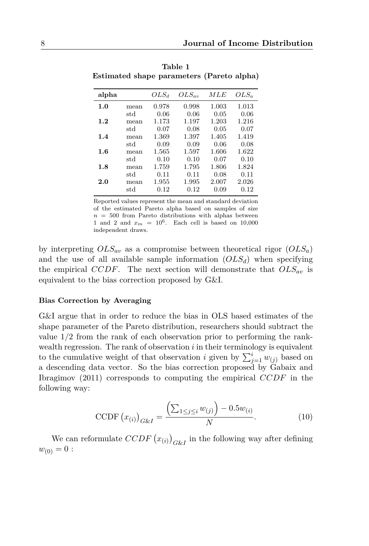| alpha   |      | $OLS_d$ | $OLS_{av}$ | MLE   | $OLS_a$ |
|---------|------|---------|------------|-------|---------|
| 1.0     | mean | 0.978   | 0.998      | 1.003 | 1.013   |
|         | std  | 0.06    | 0.06       | 0.05  | 0.06    |
| 1.2     | mean | 1.173   | 1.197      | 1.203 | 1.216   |
|         | std  | 0.07    | 0.08       | 0.05  | 0.07    |
| 1.4     | mean | 1.369   | 1.397      | 1.405 | 1.419   |
|         | std  | 0.09    | 0.09       | 0.06  | 0.08    |
| $1.6\,$ | mean | 1.565   | 1.597      | 1.606 | 1.622   |
|         | std  | 0.10    | 0.10       | 0.07  | 0.10    |
| 1.8     | mean | 1.759   | 1.795      | 1.806 | 1.824   |
|         | std  | 0.11    | 0.11       | 0.08  | 0.11    |
| 2.0     | mean | 1.955   | 1.995      | 2.007 | 2.026   |
|         | std  | 0.12    | 0.12       | 0.09  | 0.12    |

**Table 1 Estimated shape parameters (Pareto alpha)**

Reported values represent the mean and standard deviation of the estimated Pareto alpha based on samples of size  $n = 500$  from Pareto distributions with alphas between 1 and 2 and  $x_m = 10^6$ . Each cell is based on 10,000 independent draws.

by interpreting  $OLS_{av}$  as a compromise between theoretical rigor  $(OLS_a)$ and the use of all available sample information  $(OLS_d)$  when specifying the empirical CCDF. The next section will demonstrate that  $OLS_{av}$  is equivalent to the bias correction proposed by G&I.

#### **Bias Correction by Averaging**

G&I argue that in order to reduce the bias in OLS based estimates of the shape parameter of the Pareto distribution, researchers should subtract the value 1/2 from the rank of each observation prior to performing the rankwealth regression. The rank of observation  $i$  in their terminology is equivalent to the cumulative weight of that observation i given by  $\sum_{j=1}^{i} w_{(j)}$  based on a descending data vector. So the bias correction proposed by Gabaix and Ibragimov (2011) corresponds to computing the empirical CCDF in the following way:

CCDF 
$$
(x_{(i)})_{G\&I} = \frac{\left(\sum_{1 \le j \le i} w_{(j)}\right) - 0.5w_{(i)}}{N}.
$$
 (10)

We can reformulate  $CCDF(x_{(i)})_{G\&I}$  in the following way after defining  $w_{(0)} = 0$ :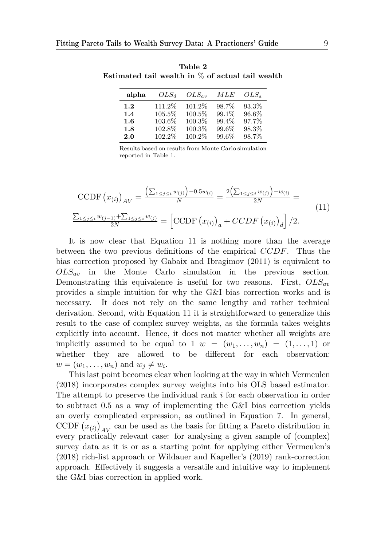| alpha   | $OLS_d$ | $OLS_{av}$ | МLE   | $OLS_a$ |
|---------|---------|------------|-------|---------|
| 1.2     | 111.2\% | 101.2%     | 98.7% | 93.3%   |
| 1.4     | 105.5%  | 100.5%     | 99.1% | 96.6%   |
| $1.6\,$ | 103.6%  | 100.3%     | 99.4% | 97.7%   |
| 1.8     | 102.8%  | 100.3%     | 99.6% | 98.3%   |
| 2.0     | 102.2%  | 100.2%     | 99.6% | 98.7%   |

**Table 2 Estimated tail wealth in** % **of actual tail wealth**

Results based on results from Monte Carlo simulation reported in Table 1.

$$
\text{CCDF} \left( x_{(i)} \right)_{AV} = \frac{\left( \sum_{1 \le j \le i} w_{(j)} \right) - 0.5 w_{(i)}}{N} = \frac{2 \left( \sum_{1 \le j \le i} w_{(j)} \right) - w_{(i)}}{2N} = \frac{\sum_{1 \le j \le i} w_{(j-1)} + \sum_{1 \le j \le i} w_{(j)}}{2N} = \left[ \text{CCDF} \left( x_{(i)} \right)_a + \text{CCDF} \left( x_{(i)} \right)_d \right] / 2.
$$
\n(11)

It is now clear that Equation 11 is nothing more than the average between the two previous definitions of the empirical CCDF. Thus the bias correction proposed by Gabaix and Ibragimov (2011) is equivalent to  $OLS_{av}$  in the Monte Carlo simulation in the previous section. Demonstrating this equivalence is useful for two reasons. First,  $OLS_{av}$ provides a simple intuition for why the G&I bias correction works and is necessary. It does not rely on the same lengthy and rather technical derivation. Second, with Equation 11 it is straightforward to generalize this result to the case of complex survey weights, as the formula takes weights explicitly into account. Hence, it does not matter whether all weights are implicitly assumed to be equal to 1  $w = (w_1, \ldots, w_n) = (1, \ldots, 1)$  or whether they are allowed to be different for each observation:  $w = (w_1, \ldots, w_n)$  and  $w_j \neq w_i$ .

This last point becomes clear when looking at the way in which Vermeulen (2018) incorporates complex survey weights into his OLS based estimator. The attempt to preserve the individual rank  $i$  for each observation in order to subtract 0.5 as a way of implementing the G&I bias correction yields an overly complicated expression, as outlined in Equation 7. In general, CCDF  $(x_{(i)})_{AV}$  can be used as the basis for fitting a Pareto distribution in every practically relevant case: for analysing a given sample of (complex) survey data as it is or as a starting point for applying either Vermeulen's (2018) rich-list approach or Wildauer and Kapeller's (2019) rank-correction approach. Effectively it suggests a versatile and intuitive way to implement the G&I bias correction in applied work.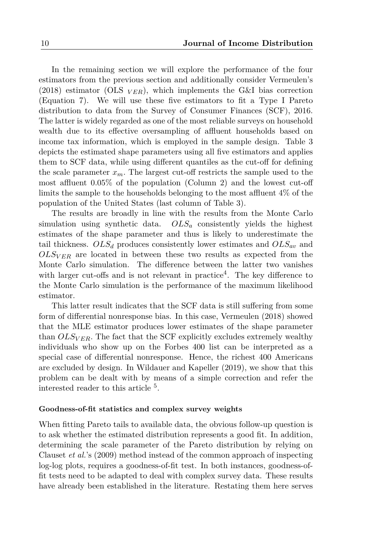In the remaining section we will explore the performance of the four estimators from the previous section and additionally consider Vermeulen's (2018) estimator (OLS  $_{VER}$ ), which implements the G&I bias correction (Equation 7). We will use these five estimators to fit a Type I Pareto distribution to data from the Survey of Consumer Finances (SCF), 2016. The latter is widely regarded as one of the most reliable surveys on household wealth due to its effective oversampling of affluent households based on income tax information, which is employed in the sample design. Table 3 depicts the estimated shape parameters using all five estimators and applies them to SCF data, while using different quantiles as the cut-off for defining the scale parameter  $x_m$ . The largest cut-off restricts the sample used to the most affluent 0.05% of the population (Column 2) and the lowest cut-off limits the sample to the households belonging to the most affluent 4% of the population of the United States (last column of Table 3).

The results are broadly in line with the results from the Monte Carlo simulation using synthetic data.  $OLS_a$  consistently yields the highest estimates of the shape parameter and thus is likely to underestimate the tail thickness.  $OLS_d$  produces consistently lower estimates and  $OLS_{av}$  and  $OLS_{VER}$  are located in between these two results as expected from the Monte Carlo simulation. The difference between the latter two vanishes with larger cut-offs and is not relevant in practice<sup>4</sup>. The key difference to the Monte Carlo simulation is the performance of the maximum likelihood estimator.

This latter result indicates that the SCF data is still suffering from some form of differential nonresponse bias. In this case, Vermeulen (2018) showed that the MLE estimator produces lower estimates of the shape parameter than  $OLS_{VER}$ . The fact that the SCF explicitly excludes extremely wealthy individuals who show up on the Forbes 400 list can be interpreted as a special case of differential nonresponse. Hence, the richest 400 Americans are excluded by design. In Wildauer and Kapeller (2019), we show that this problem can be dealt with by means of a simple correction and refer the interested reader to this article <sup>5</sup> .

#### **Goodness-of-fit statistics and complex survey weights**

When fitting Pareto tails to available data, the obvious follow-up question is to ask whether the estimated distribution represents a good fit. In addition, determining the scale parameter of the Pareto distribution by relying on Clauset *et al.*'s (2009) method instead of the common approach of inspecting log-log plots, requires a goodness-of-fit test. In both instances, goodness-offit tests need to be adapted to deal with complex survey data. These results have already been established in the literature. Restating them here serves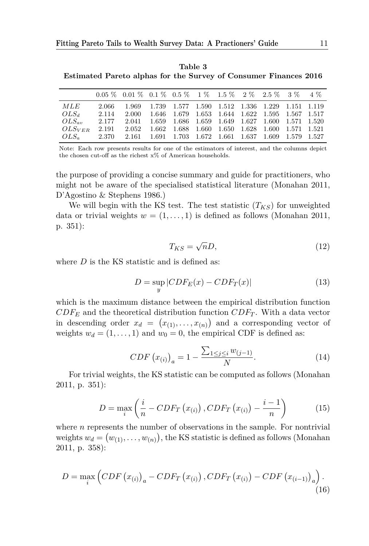**Table 3 Estimated Pareto alphas for the Survey of Consumer Finances 2016**

|                |       | $0.05\%$ $0.01\%$ $0.1\%$ $0.5\%$ $1\%$ $1.5\%$ $2\%$ $2.5\%$ $3\%$ $4\%$ |                                                       |  |  |  |  |
|----------------|-------|---------------------------------------------------------------------------|-------------------------------------------------------|--|--|--|--|
| MLE            | 2.066 | 1.969 1.739 1.577 1.590 1.512 1.336 1.229 1.151 1.119                     |                                                       |  |  |  |  |
| $OLS_d$        | 2.114 | 2.000                                                                     | 1.646 1.679 1.653 1.644 1.622 1.595 1.567 1.517       |  |  |  |  |
| $OLS_{av}$     | 2.177 |                                                                           | 2.041 1.659 1.686 1.659 1.649 1.627 1.600 1.571 1.520 |  |  |  |  |
| OLSVER         | 2.191 |                                                                           | 2.052 1.662 1.688 1.660 1.650 1.628 1.600 1.571 1.521 |  |  |  |  |
| $OLS_{\sigma}$ |       | 2.370 2.161 1.691 1.703 1.672 1.661 1.637 1.609 1.579 1.527               |                                                       |  |  |  |  |

Note: Each row presents results for one of the estimators of interest, and the columns depict the chosen cut-off as the richest  $x\%$  of American households.

the purpose of providing a concise summary and guide for practitioners, who might not be aware of the specialised statistical literature (Monahan 2011, D'Agostino & Stephens 1986.)

We will begin with the KS test. The test statistic  $(T_{KS})$  for unweighted data or trivial weights  $w = (1, \ldots, 1)$  is defined as follows (Monahan 2011, p. 351):

$$
T_{KS} = \sqrt{n}D,\t\t(12)
$$

where  $D$  is the KS statistic and is defined as:

$$
D = \sup_{y} |CDF_E(x) - CDF_T(x)| \tag{13}
$$

which is the maximum distance between the empirical distribution function  $CDF_E$  and the theoretical distribution function  $CDF_T$ . With a data vector in descending order  $x_d = (x_{(1)}, \ldots, x_{(n)})$  and a corresponding vector of weights  $w_d = (1, \ldots, 1)$  and  $w_0 = 0$ , the empirical CDF is defined as:

$$
CDF(x_{(i)})_a = 1 - \frac{\sum_{1 \le j \le i} w_{(j-1)}}{N}.
$$
\n(14)

For trivial weights, the KS statistic can be computed as follows (Monahan 2011, p. 351):

$$
D = \max_{i} \left( \frac{i}{n} - CDF_T(x_{(i)}), CDF_T(x_{(i)}) - \frac{i-1}{n} \right)
$$
(15)

where  $n$  represents the number of observations in the sample. For nontrivial weights  $w_d = (w_{(1)}, \ldots, w_{(n)})$ , the KS statistic is defined as follows (Monahan 2011, p. 358):

$$
D = \max_{i} \left(CDF\left(x_{(i)}\right)_{a} - CDF_T\left(x_{(i)}\right), CDF_T\left(x_{(i)}\right) - CDF\left(x_{(i-1)}\right)_{a}\right). \tag{16}
$$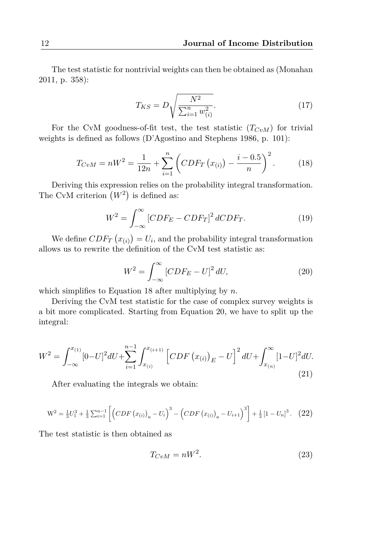The test statistic for nontrivial weights can then be obtained as (Monahan 2011, p. 358):

$$
T_{KS} = D \sqrt{\frac{N^2}{\sum_{i=1}^n w_{(i)}^2}}.
$$
\n(17)

For the CvM goodness-of-fit test, the test statistic  $(T_{CvM})$  for trivial weights is defined as follows (D'Agostino and Stephens 1986, p. 101):

$$
T_{CvM} = nW^2 = \frac{1}{12n} + \sum_{i=1}^{n} \left( CDF_T \left( x_{(i)} \right) - \frac{i - 0.5}{n} \right)^2.
$$
 (18)

Deriving this expression relies on the probability integral transformation. The CvM criterion  $(W^2)$  is defined as:

$$
W^2 = \int_{-\infty}^{\infty} \left[ CDF_E - CDF_T \right]^2 dCDF_T.
$$
 (19)

We define  $CDF_T(x_{(i)}) = U_i$ , and the probability integral transformation allows us to rewrite the definition of the CvM test statistic as:

$$
W^2 = \int_{-\infty}^{\infty} \left[ CDF_E - U \right]^2 dU,\tag{20}
$$

which simplifies to Equation 18 after multiplying by  $n$ .

Deriving the CvM test statistic for the case of complex survey weights is a bit more complicated. Starting from Equation 20, we have to split up the integral:

$$
W^{2} = \int_{-\infty}^{x_{(1)}} [0-U]^{2} dU + \sum_{i=1}^{n-1} \int_{x_{(i)}}^{x_{(i+1)}} \left[ CDF(x_{(i)})_{E} - U \right]^{2} dU + \int_{x_{(n)}}^{\infty} [1-U]^{2} dU.
$$
\n(21)

After evaluating the integrals we obtain:

$$
W^{2} = \frac{1}{3}U_{1}^{3} + \frac{1}{3}\sum_{i=1}^{n-1} \left[ \left( CDF\left(x_{(i)}\right)_{a} - U_{i} \right)^{3} - \left( CDF\left(x_{(i)}\right)_{a} - U_{i+1} \right)^{3} \right] + \frac{1}{3} \left[ 1 - U_{n} \right]^{3}.
$$
 (22)

The test statistic is then obtained as

$$
T_{CvM} = nW^2.
$$
\n<sup>(23)</sup>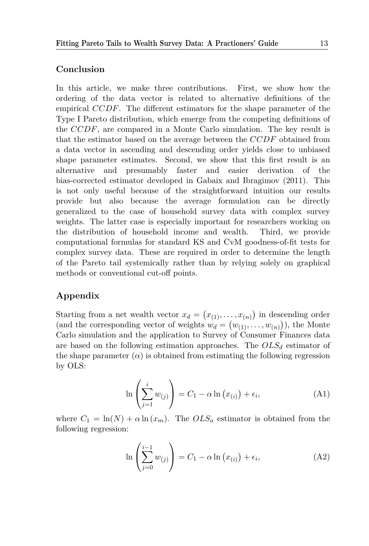## **Conclusion**

In this article, we make three contributions. First, we show how the ordering of the data vector is related to alternative definitions of the empirical CCDF. The different estimators for the shape parameter of the Type I Pareto distribution, which emerge from the competing definitions of the CCDF, are compared in a Monte Carlo simulation. The key result is that the estimator based on the average between the CCDF obtained from a data vector in ascending and descending order yields close to unbiased shape parameter estimates. Second, we show that this first result is an alternative and presumably faster and easier derivation of the bias-corrected estimator developed in Gabaix and Ibragimov (2011). This is not only useful because of the straightforward intuition our results provide but also because the average formulation can be directly generalized to the case of household survey data with complex survey weights. The latter case is especially important for researchers working on the distribution of household income and wealth. Third, we provide computational formulas for standard KS and CvM goodness-of-fit tests for complex survey data. These are required in order to determine the length of the Pareto tail systemically rather than by relying solely on graphical methods or conventional cut-off points.

## **Appendix**

Starting from a net wealth vector  $x_d = (x_{(1)}, \ldots, x_{(n)})$  in descending order (and the corresponding vector of weights  $w_d = (w_{(1)}, \ldots, w_{(n)}),$  the Monte Carlo simulation and the application to Survey of Consumer Finances data are based on the following estimation approaches. The  $OLS_d$  estimator of the shape parameter  $(\alpha)$  is obtained from estimating the following regression by OLS:

$$
\ln\left(\sum_{j=1}^{i} w_{(j)}\right) = C_1 - \alpha \ln\left(x_{(i)}\right) + \epsilon_i,
$$
\n(A1)

where  $C_1 = \ln(N) + \alpha \ln(x_m)$ . The  $OLS_a$  estimator is obtained from the following regression:

$$
\ln\left(\sum_{j=0}^{i-1} w_{(j)}\right) = C_1 - \alpha \ln\left(x_{(i)}\right) + \epsilon_i,
$$
\n(A2)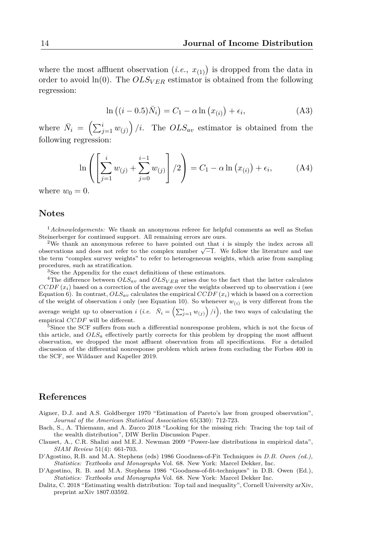where the most affluent observation  $(i.e., x_{(1)})$  is dropped from the data in order to avoid  $ln(0)$ . The  $OLS_{VER}$  estimator is obtained from the following regression:

$$
\ln ((i - 0.5)\overline{N}_i) = C_1 - \alpha \ln (x_{(i)}) + \epsilon_i,
$$
\n(A3)

where  $\bar{N}_i = \left(\sum_{j=1}^i w_{(j)}\right)/i$ . The  $OLS_{av}$  estimator is obtained from the following regression:

$$
\ln \left( \left[ \sum_{j=1}^{i} w_{(j)} + \sum_{j=0}^{i-1} w_{(j)} \right] / 2 \right) = C_1 - \alpha \ln (x_{(i)}) + \epsilon_i,
$$
 (A4)

where  $w_0 = 0$ .

#### **Notes**

<sup>1</sup>*Acknowledgements:* We thank an anonymous referee for helpful comments as well as Stefan Steinerberger for continued support. All remaining errors are ours.

<sup>2</sup>We thank an anonymous referee to have pointed out that  $i$  is simply the index across all  $\sim$  ove thank an anonymous referee to have pointed out that it is simply the index across all observations and does not refer to the complex number  $\sqrt{-1}$ . We follow the literature and use the term "complex survey weights" to refer to heterogeneous weights, which arise from sampling procedures, such as stratification.

<sup>3</sup>See the Appendix for the exact definitions of these estimators.

<sup>4</sup>The difference between  $OLS_{av}$  and  $OLS_{VER}$  arises due to the fact that the latter calculates  $CCDF(x<sub>i</sub>)$  based on a correction of the average over the weights observed up to observation i (see Equation 6). In contrast,  $OLS_{av}$  calculates the empirical  $CCDF(x_i)$  which is based on a correction of the weight of observation i only (see Equation 10). So whenever  $w_{(i)}$  is very different from the average weight up to observation *i* (*i.e.*  $\bar{N}_i = \left(\sum_{j=1}^i w_{(j)}\right) / i\right)$ , the two ways of calculating the empirical CCDF will be different.

<sup>5</sup>Since the SCF suffers from such a differential nonresponse problem, which is not the focus of this article, and  $OLS_a$  effectively partly corrects for this problem by dropping the most affluent observation, we dropped the most affluent observation from all specifications. For a detailed discussion of the differential nonresponse problem which arises from excluding the Forbes 400 in the SCF, see Wildauer and Kapeller 2019.

#### **References**

- Aigner, D.J. and A.S. Goldberger 1970 "Estimation of Pareto's law from grouped observation", *Journal of the American Statistical Association* 65(330): 712-723.
- Bach, S., A. Thiemann, and A. Zucco 2018 "Looking for the missing rich: Tracing the top tail of the wealth distribution", DIW Berlin Discussion Paper.
- Clauset, A., C.R. Shalizi and M.E.J. Newman 2009 "Power-law distributions in empirical data", *SIAM Review* 51(4): 661-703.
- D'Agostino, R.B. and M.A. Stephens (eds) 1986 Goodness-of-Fit Techniques *in D.B. Owen (ed.), Statistics: Textbooks and Monographs* Vol. 68. New York: Marcel Dekker, Inc.
- D'Agostino, R. B. and M.A. Stephens 1986 "Goodness-of-fit-techniques" in D.B. Owen (Ed.), *Statistics: Textbooks and Monographs* Vol. 68. New York: Marcel Dekker Inc.
- Dalitz, C. 2018 "Estimating wealth distribution: Top tail and inequality", Cornell University arXiv, preprint arXiv 1807.03592.